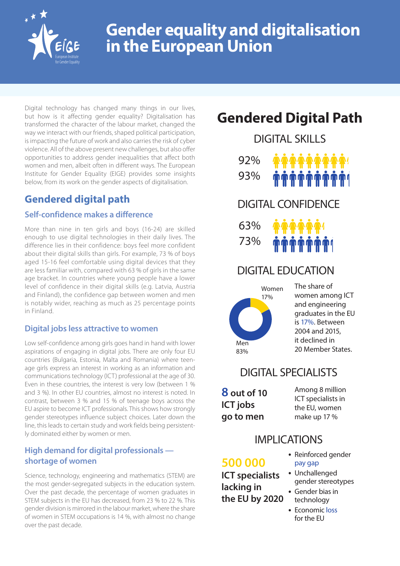

# **Gender equality and digitalisation in the European Union**

Digital technology has changed many things in our lives, but how is it affecting gender equality? Digitalisation has transformed the character of the labour market, changed the way we interact with our friends, shaped political participation, is impacting the future of work and also carries the risk of cyber violence. All of the above present new challenges, but also offer opportunities to address gender inequalities that affect both women and men, albeit often in different ways. The European Institute for Gender Equality (EIGE) provides some insights below, from its work on the gender aspects of digitalisation.

# **Gendered digital path**

### **Self-confidence makes a difference**

More than nine in ten girls and boys (16-24) are skilled enough to use digital technologies in their daily lives. The difference lies in their confidence: boys feel more confident about their digital skills than girls. For example, 73 % of boys aged 15-16 feel comfortable using digital devices that they are less familiar with, compared with 63 % of girls in the same age bracket. In countries where young people have a lower level of confidence in their digital skills (e.g. Latvia, Austria and Finland), the confidence gap between women and men is notably wider, reaching as much as 25 percentage points in Finland.

#### **Digital jobs less attractive to women**

Low self-confidence among girls goes hand in hand with lower aspirations of engaging in digital jobs. There are only four EU countries (Bulgaria, Estonia, Malta and Romania) where teenage girls express an interest in working as an information and communications technology (ICT) professional at the age of 30. Even in these countries, the interest is very low (between 1 % and 3 %). In other EU countries, almost no interest is noted. In contrast, between 3 % and 15 % of teenage boys across the EU aspire to become ICT professionals. This shows how strongly gender stereotypes influence subject choices. Later down the line, this leads to certain study and work fields being persistently dominated either by women or men.

### **High demand for digital professionals shortage of women**

Science, technology, engineering and mathematics (STEM) are the most gender-segregated subjects in the education system. Over the past decade, the percentage of women graduates in STEM subjects in the EU has decreased, from 23 % to 22 %. This gender division is mirrored in the labour market, where the share of women in STEM occupations is 14 %, with almost no change over the past decade.

# **Gendered Digital Path**

DIGITAL SKILLS 92% 93% DIGITAL CONFIDENCE 63% 73%

## DIGITAL EDUCATION

**U T T T T T** 



The share of women among ICT and engineering graduates in the EU is 17%. Between 2004 and 2015, it declined in 20 Member States.

## DIGITAL SPECIALISTS

**8 out of 10 ICT jobs go to men** 

Among 8 million ICT specialists in the EU, women make up 17 %

### IMPI ICATIONS

### **500 000**

**ICT specialists lacking in the EU by 2020**

- Reinforced gender pay gap
- Unchallenged gender stereotypes
- Gender bias in technology
- Economic loss for the EU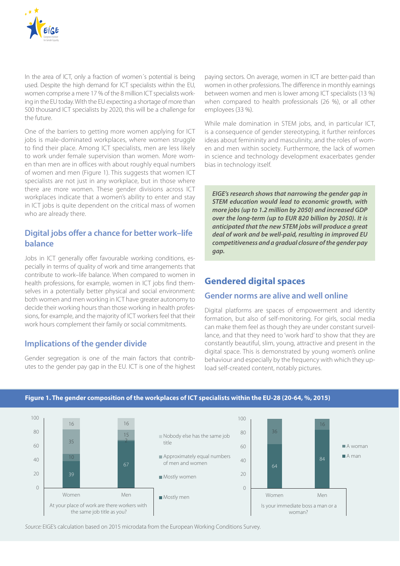

In the area of ICT, only a fraction of women´s potential is being used. Despite the high demand for ICT specialists within the EU, women comprise a mere 17 % of the 8 million ICT specialists working in the EU today. With the EU expecting a shortage of more than 500 thousand ICT specialists by 2020, this will be a challenge for the future.

One of the barriers to getting more women applying for ICT jobs is male-dominated workplaces, where women struggle to find their place. Among ICT specialists, men are less likely to work under female supervision than women. More women than men are in offices with about roughly equal numbers of women and men (Figure 1). This suggests that women ICT specialists are not just in any workplace, but in those where there are more women. These gender divisions across ICT workplaces indicate that a women's ability to enter and stay in ICT jobs is quite dependent on the critical mass of women who are already there.

#### **Digital jobs offer a chance for better work–life balance**

Jobs in ICT generally offer favourable working conditions, especially in terms of quality of work and time arrangements that contribute to work–life balance. When compared to women in health professions, for example, women in ICT jobs find themselves in a potentially better physical and social environment: both women and men working in ICT have greater autonomy to decide their working hours than those working in health professions, for example, and the majority of ICT workers feel that their work hours complement their family or social commitments.

#### **Implications of the gender divide**

Gender segregation is one of the main factors that contributes to the gender pay gap in the EU. ICT is one of the highest

paying sectors. On average, women in ICT are better-paid than women in other professions. The difference in monthly earnings between women and men is lower among ICT specialists (13 %) when compared to health professionals (26 %), or all other employees (33 %).

While male domination in STEM jobs, and, in particular ICT, is a consequence of gender stereotyping, it further reinforces ideas about femininity and masculinity, and the roles of women and men within society. Furthermore, the lack of women in science and technology development exacerbates gender bias in technology itself.

*EIGE's research shows that narrowing the gender gap in STEM education would lead to economic growth, with more jobs (up to 1.2 million by 2050) and increased GDP over the long-term (up to EUR 820 billion by 2050). It is anticipated that the new STEM jobs will produce a great deal of work and be well-paid, resulting in improved EU competitiveness and a gradual closure of the gender pay gap.*

#### **Gendered digital spaces**

#### **Gender norms are alive and well online**

Digital platforms are spaces of empowerment and identity formation, but also of self-monitoring. For girls, social media can make them feel as though they are under constant surveillance, and that they need to 'work hard' to show that they are constantly beautiful, slim, young, attractive and present in the digital space. This is demonstrated by young women's online behaviour and especially by the frequency with which they upload self-created content, notably pictures.



#### **Figure 1. The gender composition of the workplaces of ICT specialists within the EU-28 (20-64, %, 2015)**

*Source:* EIGE's calculation based on 2015 microdata from the European Working Conditions Survey.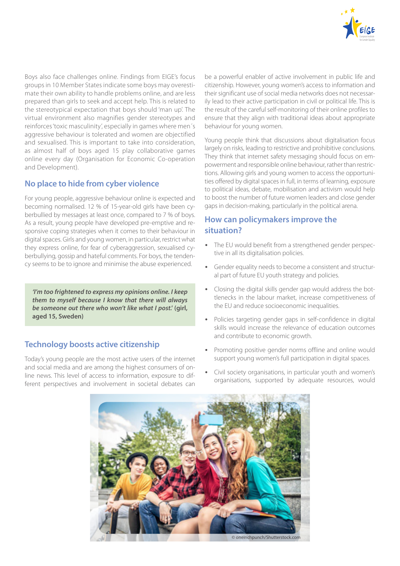

Boys also face challenges online. Findings from EIGE's focus groups in 10 Member States indicate some boys may overestimate their own ability to handle problems online, and are less prepared than girls to seek and accept help. This is related to the stereotypical expectation that boys should 'man up'. The virtual environment also magnifies gender stereotypes and reinforces 'toxic masculinity', especially in games where men´s aggressive behaviour is tolerated and women are objectified and sexualised. This is important to take into consideration, as almost half of boys aged 15 play collaborative games online every day (Organisation for Economic Co-operation and Development).

#### **No place to hide from cyber violence**

For young people, aggressive behaviour online is expected and becoming normalised. 12 % of 15-year-old girls have been cyberbullied by messages at least once, compared to 7 % of boys. As a result, young people have developed pre-emptive and responsive coping strategies when it comes to their behaviour in digital spaces. Girls and young women, in particular, restrict what they express online, for fear of cyberaggression, sexualised cyberbullying, gossip and hateful comments. For boys, the tendency seems to be to ignore and minimise the abuse experienced.

*'I'm too frightened to express my opinions online. I keep them to myself because I know that there will always be someone out there who won't like what I post.'* **(girl, aged 15, Sweden)**

#### **Technology boosts active citizenship**

Today's young people are the most active users of the internet and social media and are among the highest consumers of online news. This level of access to information, exposure to different perspectives and involvement in societal debates can

be a powerful enabler of active involvement in public life and citizenship. However, young women's access to information and their significant use of social media networks does not necessarily lead to their active participation in civil or political life. This is the result of the careful self-monitoring of their online profiles to ensure that they align with traditional ideas about appropriate behaviour for young women.

Young people think that discussions about digitalisation focus largely on risks, leading to restrictive and prohibitive conclusions. They think that internet safety messaging should focus on empowerment and responsible online behaviour, rather than restrictions. Allowing girls and young women to access the opportunities offered by digital spaces in full, in terms of learning, exposure to political ideas, debate, mobilisation and activism would help to boost the number of future women leaders and close gender gaps in decision-making, particularly in the political arena.

#### **How can policymakers improve the situation?**

- The EU would benefit from a strengthened gender perspective in all its digitalisation policies.
- Gender equality needs to become a consistent and structural part of future EU youth strategy and policies.
- Closing the digital skills gender gap would address the bottlenecks in the labour market, increase competitiveness of the EU and reduce socioeconomic inequalities.
- Policies targeting gender gaps in self-confidence in digital skills would increase the relevance of education outcomes and contribute to economic growth.
- Promoting positive gender norms offline and online would support young women's full participation in digital spaces.
- Civil society organisations, in particular youth and women's organisations, supported by adequate resources, would